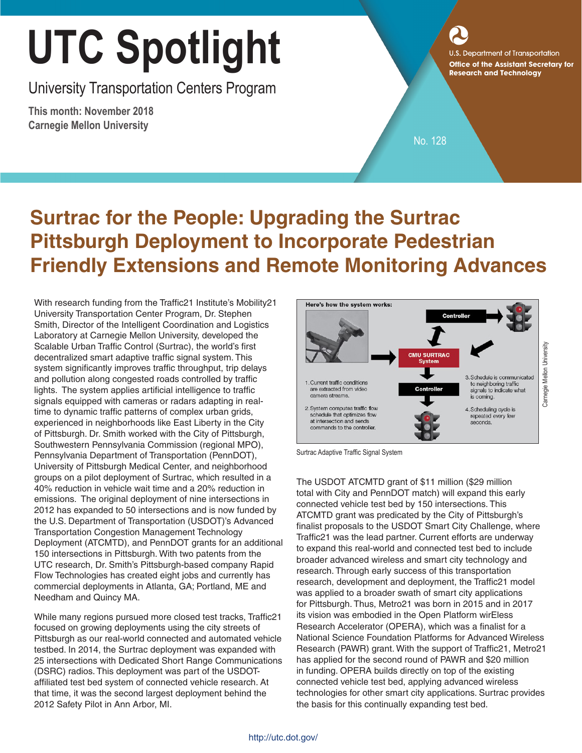## **Office of the Assistant Secretary for Research and Technology**

University Transportation Centers Program

**This month: November 2018 Carnegie Mellon University**

No. 128

## **Surtrac for the People: Upgrading the Surtrac Pittsburgh Deployment to Incorporate Pedestrian Friendly Extensions and Remote Monitoring Advances**

With research funding from the Traffic21 Institute's Mobility21 University Transportation Center Program, Dr. Stephen Smith, Director of the Intelligent Coordination and Logistics Laboratory at Carnegie Mellon University, developed the Scalable Urban Traffic Control (Surtrac), the world's first decentralized smart adaptive traffic signal system. This system significantly improves traffic throughput, trip delays and pollution along congested roads controlled by traffic lights. The system applies artificial intelligence to traffic signals equipped with cameras or radars adapting in realtime to dynamic traffic patterns of complex urban grids, experienced in neighborhoods like East Liberty in the City of Pittsburgh. Dr. Smith worked with the City of Pittsburgh, Southwestern Pennsylvania Commission (regional MPO), Pennsylvania Department of Transportation (PennDOT), University of Pittsburgh Medical Center, and neighborhood groups on a pilot deployment of Surtrac, which resulted in a 40% reduction in vehicle wait time and a 20% reduction in emissions. The original deployment of nine intersections in 2012 has expanded to 50 intersections and is now funded by the U.S. Department of Transportation (USDOT)'s Advanced Transportation Congestion Management Technology Deployment (ATCMTD), and PennDOT grants for an additional 150 intersections in Pittsburgh. With two patents from the UTC research, Dr. Smith's Pittsburgh-based company [Rapid](https://rapidflowtech.com/)  [Flow Technologies](https://rapidflowtech.com/) has created eight jobs and currently has commercial deployments in Atlanta, GA; Portland, ME and Needham and Quincy MA.

While many regions pursued more closed test tracks, Traffic21 focused on growing deployments using the city streets of Pittsburgh as our real-world connected and automated vehicle testbed. In 2014, the Surtrac deployment was expanded with 25 intersections with Dedicated Short Range Communications (DSRC) radios. This deployment was part of the USDOTaffiliated test bed system of connected vehicle research. At that time, it was the second largest deployment behind the 2012 Safety Pilot in Ann Arbor, MI.



Surtrac Adaptive Traffic Signal System

The USDOT ATCMTD grant of \$11 million (\$29 million total with City and PennDOT match) will expand this early connected vehicle test bed by 150 intersections. This ATCMTD grant was predicated by the City of Pittsburgh's finalist proposals to the USDOT Smart City Challenge, where Traffic21 was the lead partner. Current efforts are underway to expand this real-world and connected test bed to include broader advanced wireless and smart city technology and research. Through early success of this transportation research, development and deployment, the Traffic21 model was applied to a broader swath of smart city applications for Pittsburgh. Thus, Metro21 was born in 2015 and in 2017 its vision was embodied in the Open Platform wirEless Research Accelerator (OPERA), which was a finalist for a National Science Foundation Platforms for Advanced Wireless Research (PAWR) grant. With the support of Traffic21, Metro21 has applied for the second round of PAWR and \$20 million in funding. OPERA builds directly on top of the existing connected vehicle test bed, applying advanced wireless technologies for other smart city applications. Surtrac provides the basis for this continually expanding test bed.